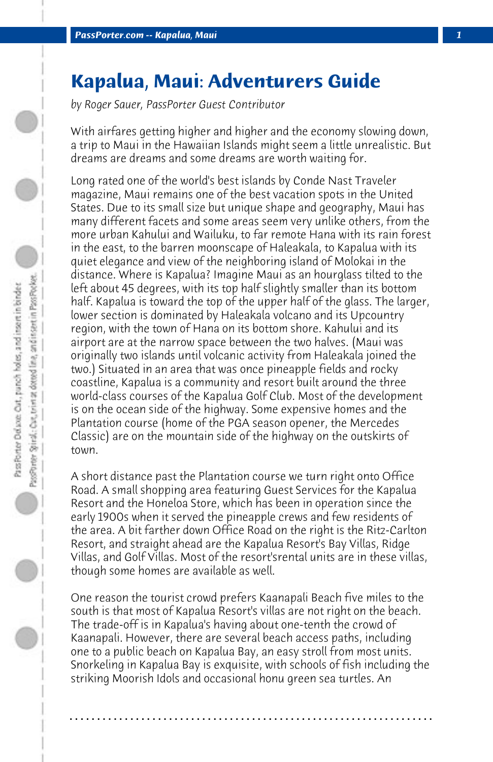## **Kapalua, Maui: Adventurers Guide**

*by Roger Sauer, PassPorter Guest Contributor*

With airfares getting higher and higher and the economy slowing down, a trip to Maui in the Hawaiian Islands might seem a little unrealistic. But dreams are dreams and some dreams are worth waiting for.

Long rated one of the world's best islands by Conde Nast Traveler magazine, Maui remains one of the best vacation spots in the United States. Due to its small size but unique shape and geography, Maui has many different facets and some areas seem very unlike others, from the more urban Kahului and Wailuku, to far remote Hana with its rain forest in the east, to the barren moonscape of Haleakala, to Kapalua with its quiet elegance and view of the neighboring island of Molokai in the distance. Where is Kapalua? Imagine Maui as an hourglass tilted to the left about 45 degrees, with its top half slightly smaller than its bottom half. Kapalua is toward the top of the upper half of the glass. The larger, lower section is dominated by Haleakala volcano and its Upcountry region, with the town of Hana on its bottom shore. Kahului and its airport are at the narrow space between the two halves. (Maui was originally two islands until volcanic activity from Haleakala joined the two.) Situated in an area that was once pineapple fields and rocky coastline, Kapalua is a community and resort built around the three world-class courses of the Kapalua Golf Club. Most of the development is on the ocean side of the highway. Some expensive homes and the Plantation course (home of the PGA season opener, the Mercedes Classic) are on the mountain side of the highway on the outskirts of town.

A short distance past the Plantation course we turn right onto Office Road. A small shopping area featuring Guest Services for the Kapalua Resort and the Honeloa Store, which has been in operation since the early 1900s when it served the pineapple crews and few residents of the area. A bit farther down Office Road on the right is the Ritz-Carlton Resort, and straight ahead are the Kapalua Resort's Bay Villas, Ridge Villas, and Golf Villas. Most of the resort'srental units are in these villas, though some homes are available as well.

One reason the tourist crowd prefers Kaanapali Beach five miles to the south is that most of Kapalua Resort's villas are not right on the beach. The trade-off is in Kapalua's having about one-tenth the crowd of Kaanapali. However, there are several beach access paths, including one to a public beach on Kapalua Bay, an easy stroll from most units. Snorkeling in Kapalua Bay is exquisite, with schools of fish including the striking Moorish Idols and occasional honu green sea turtles. An

**. . . . . . . . . . . . . . . . . . . . . . . . . . . . . . . . . . . . . . . . . . . . . . . . . . . . . . . . . . . . . . . . . .**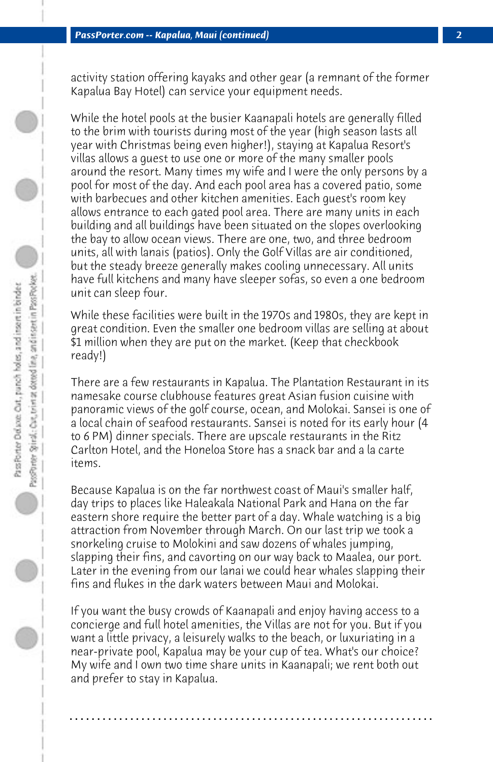activity station offering kayaks and other gear (a remnant of the former Kapalua Bay Hotel) can service your equipment needs.

While the hotel pools at the busier Kaanapali hotels are generally filled to the brim with tourists during most of the year (high season lasts all year with Christmas being even higher!), staying at Kapalua Resort's villas allows a guest to use one or more of the many smaller pools around the resort. Many times my wife and I were the only persons by a pool for most of the day. And each pool area has a covered patio, some with barbecues and other kitchen amenities. Each guest's room key allows entrance to each gated pool area. There are many units in each building and all buildings have been situated on the slopes overlooking the bay to allow ocean views. There are one, two, and three bedroom units, all with lanais (patios). Only the Golf Villas are air conditioned, but the steady breeze generally makes cooling unnecessary. All units have full kitchens and many have sleeper sofas, so even a one bedroom unit can sleep four.

While these facilities were built in the 1970s and 1980s, they are kept in great condition. Even the smaller one bedroom villas are selling at about \$1 million when they are put on the market. (Keep that checkbook ready!)

There are a few restaurants in Kapalua. The Plantation Restaurant in its namesake course clubhouse features great Asian fusion cuisine with panoramic views of the golf course, ocean, and Molokai. Sansei is one of a local chain of seafood restaurants. Sansei is noted for its early hour (4 to 6 PM) dinner specials. There are upscale restaurants in the Ritz Carlton Hotel, and the Honeloa Store has a snack bar and a la carte items.

Because Kapalua is on the far northwest coast of Maui's smaller half, day trips to places like Haleakala National Park and Hana on the far eastern shore require the better part of a day. Whale watching is a big attraction from November through March. On our last trip we took a snorkeling cruise to Molokini and saw dozens of whales jumping, slapping their fins, and cavorting on our way back to Maalea, our port. Later in the evening from our lanai we could hear whales slapping their fins and flukes in the dark waters between Maui and Molokai.

If you want the busy crowds of Kaanapali and enjoy having access to a concierge and full hotel amenities, the Villas are not for you. But if you want a little privacy, a leisurely walks to the beach, or luxuriating in a near-private pool, Kapalua may be your cup of tea. What's our choice? My wife and I own two time share units in Kaanapali; we rent both out and prefer to stay in Kapalua.

**. . . . . . . . . . . . . . . . . . . . . . . . . . . . . . . . . . . . . . . . . . . . . . . . . . . . . . . . . . . . . . . . . .**